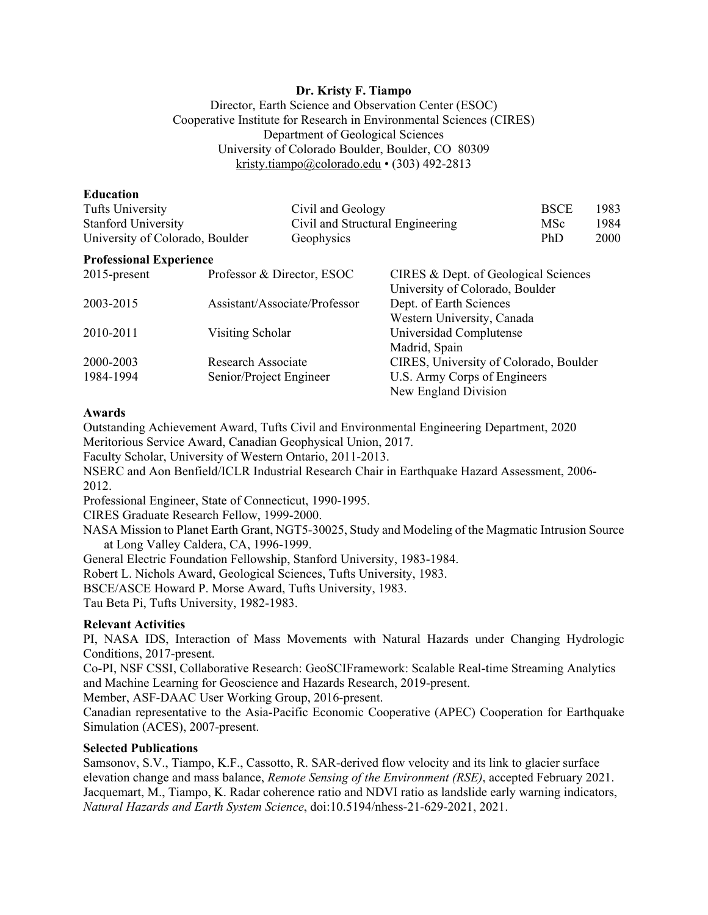## **Dr. Kristy F. Tiampo**

Director, Earth Science and Observation Center (ESOC) Cooperative Institute for Research in Environmental Sciences (CIRES) Department of Geological Sciences University of Colorado Boulder, Boulder, CO 80309 kristy.tiampo@colorado.edu • (303) 492-2813

| Education |  |  |  |
|-----------|--|--|--|
|           |  |  |  |

| Tufts University                           |                            | Civil and Geology                |                                        | <b>BSCE</b> | 1983 |  |
|--------------------------------------------|----------------------------|----------------------------------|----------------------------------------|-------------|------|--|
| <b>Stanford University</b>                 |                            | Civil and Structural Engineering |                                        | MSc         | 1984 |  |
| University of Colorado, Boulder            |                            | Geophysics                       |                                        | <b>PhD</b>  | 2000 |  |
| <b>Professional Experience</b>             |                            |                                  |                                        |             |      |  |
| $2015$ -present                            | Professor & Director, ESOC |                                  | CIRES & Dept. of Geological Sciences   |             |      |  |
|                                            |                            |                                  | University of Colorado, Boulder        |             |      |  |
| Assistant/Associate/Professor<br>2003-2015 |                            | Dept. of Earth Sciences          |                                        |             |      |  |
|                                            |                            |                                  | Western University, Canada             |             |      |  |
| 2010-2011                                  | Visiting Scholar           |                                  | Universidad Complutense                |             |      |  |
|                                            |                            |                                  | Madrid, Spain                          |             |      |  |
| 2000-2003                                  | Research Associate         |                                  | CIRES, University of Colorado, Boulder |             |      |  |
| 1984-1994                                  | Senior/Project Engineer    |                                  | U.S. Army Corps of Engineers           |             |      |  |
|                                            |                            |                                  | New England Division                   |             |      |  |

## **Awards**

Outstanding Achievement Award, Tufts Civil and Environmental Engineering Department, 2020 Meritorious Service Award, Canadian Geophysical Union, 2017.

Faculty Scholar, University of Western Ontario, 2011-2013.

NSERC and Aon Benfield/ICLR Industrial Research Chair in Earthquake Hazard Assessment, 2006- 2012.

Professional Engineer, State of Connecticut, 1990-1995.

CIRES Graduate Research Fellow, 1999-2000.

NASA Mission to Planet Earth Grant, NGT5-30025, Study and Modeling of the Magmatic Intrusion Source at Long Valley Caldera, CA, 1996-1999.

General Electric Foundation Fellowship, Stanford University, 1983-1984.

Robert L. Nichols Award, Geological Sciences, Tufts University, 1983.

BSCE/ASCE Howard P. Morse Award, Tufts University, 1983.

Tau Beta Pi, Tufts University, 1982-1983.

## **Relevant Activities**

PI, NASA IDS, Interaction of Mass Movements with Natural Hazards under Changing Hydrologic Conditions, 2017-present.

Co-PI, NSF CSSI, Collaborative Research: GeoSCIFramework: Scalable Real-time Streaming Analytics and Machine Learning for Geoscience and Hazards Research, 2019-present.

Member, ASF-DAAC User Working Group, 2016-present.

Canadian representative to the Asia-Pacific Economic Cooperative (APEC) Cooperation for Earthquake Simulation (ACES), 2007-present.

## **Selected Publications**

Samsonov, S.V., Tiampo, K.F., Cassotto, R. SAR-derived flow velocity and its link to glacier surface elevation change and mass balance, *Remote Sensing of the Environment (RSE)*, accepted February 2021. Jacquemart, M., Tiampo, K. Radar coherence ratio and NDVI ratio as landslide early warning indicators, *Natural Hazards and Earth System Science*, doi:10.5194/nhess-21-629-2021, 2021.